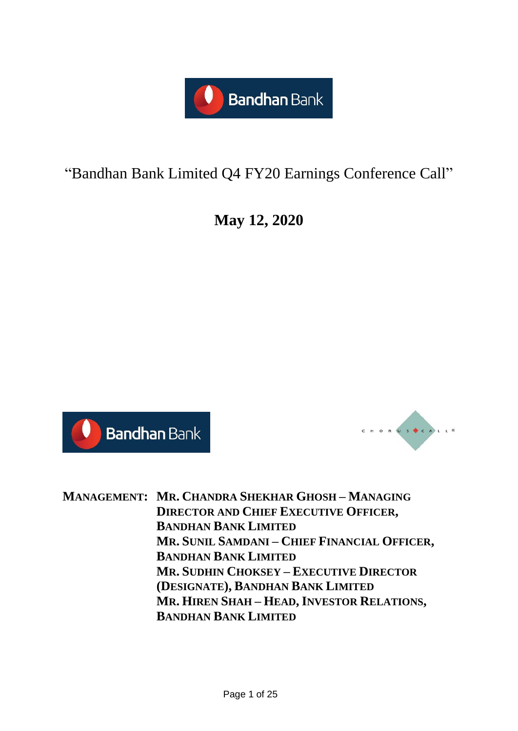

# "Bandhan Bank Limited Q4 FY20 Earnings Conference Call"

**May 12, 2020**





**MANAGEMENT: MR. CHANDRA SHEKHAR GHOSH – MANAGING DIRECTOR AND CHIEF EXECUTIVE OFFICER, BANDHAN BANK LIMITED MR. SUNIL SAMDANI – CHIEF FINANCIAL OFFICER, BANDHAN BANK LIMITED MR. SUDHIN CHOKSEY – EXECUTIVE DIRECTOR (DESIGNATE), BANDHAN BANK LIMITED MR. HIREN SHAH – HEAD, INVESTOR RELATIONS, BANDHAN BANK LIMITED**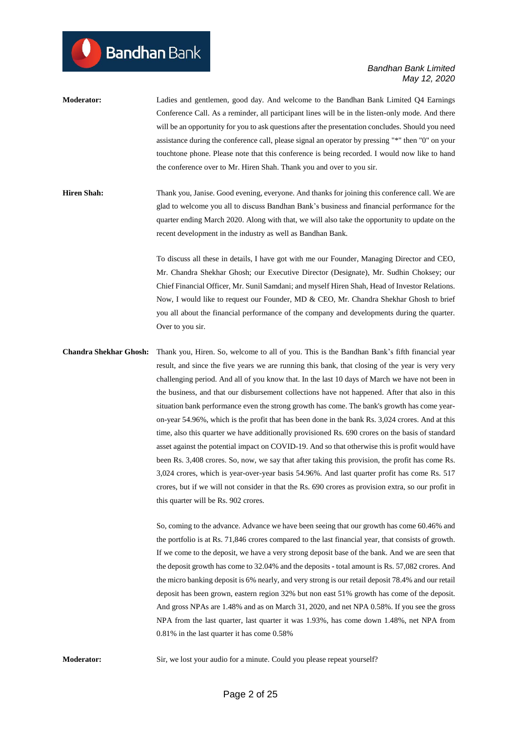**Moderator:** Ladies and gentlemen, good day. And welcome to the Bandhan Bank Limited Q4 Earnings Conference Call. As a reminder, all participant lines will be in the listen-only mode. And there will be an opportunity for you to ask questions after the presentation concludes. Should you need assistance during the conference call, please signal an operator by pressing "\*" then "0" on your touchtone phone. Please note that this conference is being recorded. I would now like to hand the conference over to Mr. Hiren Shah. Thank you and over to you sir.

**Bandhan** Bank

**Hiren Shah:** Thank you, Janise. Good evening, everyone. And thanks for joining this conference call. We are glad to welcome you all to discuss Bandhan Bank's business and financial performance for the quarter ending March 2020. Along with that, we will also take the opportunity to update on the recent development in the industry as well as Bandhan Bank.

> To discuss all these in details, I have got with me our Founder, Managing Director and CEO, Mr. Chandra Shekhar Ghosh; our Executive Director (Designate), Mr. Sudhin Choksey; our Chief Financial Officer, Mr. Sunil Samdani; and myself Hiren Shah, Head of Investor Relations. Now, I would like to request our Founder, MD & CEO, Mr. Chandra Shekhar Ghosh to brief you all about the financial performance of the company and developments during the quarter. Over to you sir.

**Chandra Shekhar Ghosh:** Thank you, Hiren. So, welcome to all of you. This is the Bandhan Bank's fifth financial year result, and since the five years we are running this bank, that closing of the year is very very challenging period. And all of you know that. In the last 10 days of March we have not been in the business, and that our disbursement collections have not happened. After that also in this situation bank performance even the strong growth has come. The bank's growth has come yearon-year 54.96%, which is the profit that has been done in the bank Rs. 3,024 crores. And at this time, also this quarter we have additionally provisioned Rs. 690 crores on the basis of standard asset against the potential impact on COVID-19. And so that otherwise this is profit would have been Rs. 3,408 crores. So, now, we say that after taking this provision, the profit has come Rs. 3,024 crores, which is year-over-year basis 54.96%. And last quarter profit has come Rs. 517 crores, but if we will not consider in that the Rs. 690 crores as provision extra, so our profit in this quarter will be Rs. 902 crores.

> So, coming to the advance. Advance we have been seeing that our growth has come 60.46% and the portfolio is at Rs. 71,846 crores compared to the last financial year, that consists of growth. If we come to the deposit, we have a very strong deposit base of the bank. And we are seen that the deposit growth has come to 32.04% and the deposits **-** total amount is Rs. 57,082 crores. And the micro banking deposit is 6% nearly, and very strong is our retail deposit 78.4% and our retail deposit has been grown, eastern region 32% but non east 51% growth has come of the deposit. And gross NPAs are 1.48% and as on March 31, 2020, and net NPA 0.58%. If you see the gross NPA from the last quarter, last quarter it was 1.93%, has come down 1.48%, net NPA from 0.81% in the last quarter it has come 0.58%

**Moderator:** Sir, we lost your audio for a minute. Could you please repeat yourself?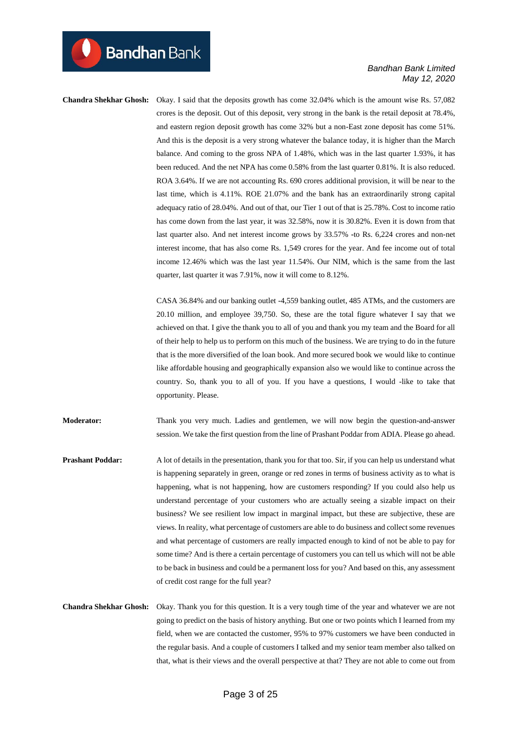**Bandhan** Bank

**Chandra Shekhar Ghosh:** Okay. I said that the deposits growth has come 32.04% which is the amount wise Rs. 57,082 crores is the deposit. Out of this deposit, very strong in the bank is the retail deposit at 78.4%, and eastern region deposit growth has come 32% but a non-East zone deposit has come 51%. And this is the deposit is a very strong whatever the balance today, it is higher than the March balance. And coming to the gross NPA of 1.48%, which was in the last quarter 1.93%, it has been reduced. And the net NPA has come 0.58% from the last quarter 0.81%. It is also reduced. ROA 3.64%. If we are not accounting Rs. 690 crores additional provision, it will be near to the last time, which is 4.11%. ROE 21.07% and the bank has an extraordinarily strong capital adequacy ratio of 28.04%. And out of that, our Tier 1 out of that is 25.78%. Cost to income ratio has come down from the last year, it was 32.58%, now it is 30.82%. Even it is down from that last quarter also. And net interest income grows by 33.57% **-**to Rs. 6,224 crores and non-net interest income, that has also come Rs. 1,549 crores for the year. And fee income out of total income 12.46% which was the last year 11.54%. Our NIM, which is the same from the last quarter, last quarter it was 7.91%, now it will come to 8.12%.

> CASA 36.84% and our banking outlet -4,559 banking outlet, 485 ATMs, and the customers are 20.10 million, and employee 39,750. So, these are the total figure whatever I say that we achieved on that. I give the thank you to all of you and thank you my team and the Board for all of their help to help us to perform on this much of the business. We are trying to do in the future that is the more diversified of the loan book. And more secured book we would like to continue like affordable housing and geographically expansion also we would like to continue across the country. So, thank you to all of you. If you have a questions, I would -like to take that opportunity. Please.

**Moderator:** Thank you very much. Ladies and gentlemen, we will now begin the question-and-answer session. We take the first question from the line of Prashant Poddar from ADIA. Please go ahead.

**Prashant Poddar:** A lot of details in the presentation, thank you for that too. Sir, if you can help us understand what is happening separately in green, orange or red zones in terms of business activity as to what is happening, what is not happening, how are customers responding? If you could also help us understand percentage of your customers who are actually seeing a sizable impact on their business? We see resilient low impact in marginal impact, but these are subjective, these are views. In reality, what percentage of customers are able to do business and collect some revenues and what percentage of customers are really impacted enough to kind of not be able to pay for some time? And is there a certain percentage of customers you can tell us which will not be able to be back in business and could be a permanent loss for you? And based on this, any assessment of credit cost range for the full year?

**Chandra Shekhar Ghosh:** Okay. Thank you for this question. It is a very tough time of the year and whatever we are not going to predict on the basis of history anything. But one or two points which I learned from my field, when we are contacted the customer, 95% to 97% customers we have been conducted in the regular basis. And a couple of customers I talked and my senior team member also talked on that, what is their views and the overall perspective at that? They are not able to come out from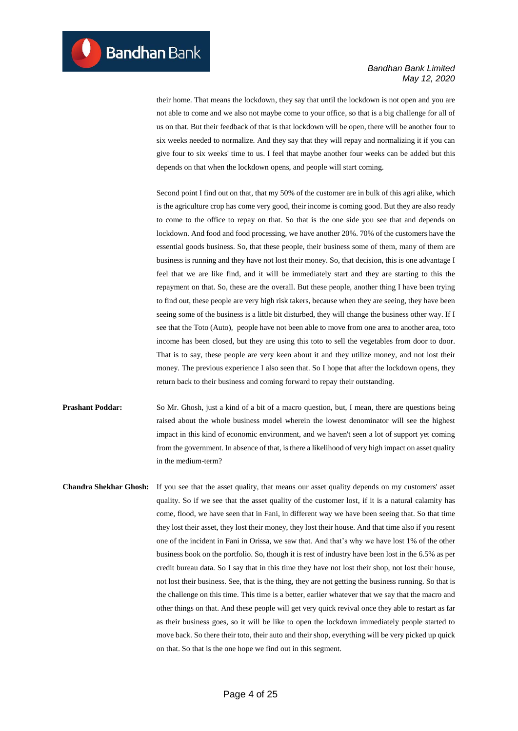their home. That means the lockdown, they say that until the lockdown is not open and you are not able to come and we also not maybe come to your office, so that is a big challenge for all of us on that. But their feedback of that is that lockdown will be open, there will be another four to six weeks needed to normalize. And they say that they will repay and normalizing it if you can give four to six weeks' time to us. I feel that maybe another four weeks can be added but this depends on that when the lockdown opens, and people will start coming.

Second point I find out on that, that my 50% of the customer are in bulk of this agri alike, which is the agriculture crop has come very good, their income is coming good. But they are also ready to come to the office to repay on that. So that is the one side you see that and depends on lockdown. And food and food processing, we have another 20%. 70% of the customers have the essential goods business. So, that these people, their business some of them, many of them are business is running and they have not lost their money. So, that decision, this is one advantage I feel that we are like find, and it will be immediately start and they are starting to this the repayment on that. So, these are the overall. But these people, another thing I have been trying to find out, these people are very high risk takers, because when they are seeing, they have been seeing some of the business is a little bit disturbed, they will change the business other way. If I see that the Toto (Auto), people have not been able to move from one area to another area, toto income has been closed, but they are using this toto to sell the vegetables from door to door. That is to say, these people are very keen about it and they utilize money, and not lost their money. The previous experience I also seen that. So I hope that after the lockdown opens, they return back to their business and coming forward to repay their outstanding.

- **Prashant Poddar:** So Mr. Ghosh, just a kind of a bit of a macro question, but, I mean, there are questions being raised about the whole business model wherein the lowest denominator will see the highest impact in this kind of economic environment, and we haven't seen a lot of support yet coming from the government. In absence of that, is there a likelihood of very high impact on asset quality in the medium-term?
- **Chandra Shekhar Ghosh:** If you see that the asset quality, that means our asset quality depends on my customers' asset quality. So if we see that the asset quality of the customer lost, if it is a natural calamity has come, flood, we have seen that in Fani, in different way we have been seeing that. So that time they lost their asset, they lost their money, they lost their house. And that time also if you resent one of the incident in Fani in Orissa, we saw that. And that's why we have lost 1% of the other business book on the portfolio. So, though it is rest of industry have been lost in the 6.5% as per credit bureau data. So I say that in this time they have not lost their shop, not lost their house, not lost their business. See, that is the thing, they are not getting the business running. So that is the challenge on this time. This time is a better, earlier whatever that we say that the macro and other things on that. And these people will get very quick revival once they able to restart as far as their business goes, so it will be like to open the lockdown immediately people started to move back. So there their toto, their auto and their shop, everything will be very picked up quick on that. So that is the one hope we find out in this segment.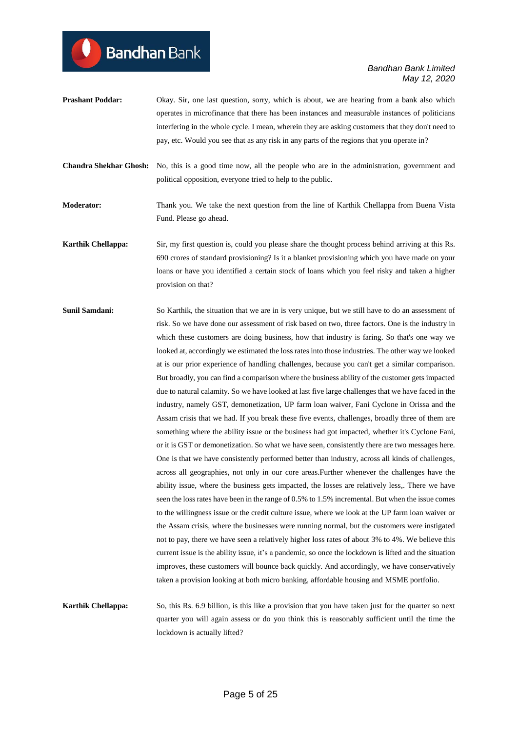**Prashant Poddar:** Okay. Sir, one last question, sorry, which is about, we are hearing from a bank also which operates in microfinance that there has been instances and measurable instances of politicians interfering in the whole cycle. I mean, wherein they are asking customers that they don't need to pay, etc. Would you see that as any risk in any parts of the regions that you operate in?

**Bandhan** Bank

- **Chandra Shekhar Ghosh:** No, this is a good time now, all the people who are in the administration, government and political opposition, everyone tried to help to the public.
- **Moderator:** Thank you. We take the next question from the line of Karthik Chellappa from Buena Vista Fund. Please go ahead.
- **Karthik Chellappa:** Sir, my first question is, could you please share the thought process behind arriving at this Rs. 690 crores of standard provisioning? Is it a blanket provisioning which you have made on your loans or have you identified a certain stock of loans which you feel risky and taken a higher provision on that?
- **Sunil Samdani:** So Karthik, the situation that we are in is very unique, but we still have to do an assessment of risk. So we have done our assessment of risk based on two, three factors. One is the industry in which these customers are doing business, how that industry is faring. So that's one way we looked at, accordingly we estimated the loss rates into those industries. The other way we looked at is our prior experience of handling challenges, because you can't get a similar comparison. But broadly, you can find a comparison where the business ability of the customer gets impacted due to natural calamity. So we have looked at last five large challenges that we have faced in the industry, namely GST, demonetization, UP farm loan waiver, Fani Cyclone in Orissa and the Assam crisis that we had. If you break these five events, challenges, broadly three of them are something where the ability issue or the business had got impacted, whether it's Cyclone Fani, or it is GST or demonetization. So what we have seen, consistently there are two messages here. One is that we have consistently performed better than industry, across all kinds of challenges, across all geographies, not only in our core areas.Further whenever the challenges have the ability issue, where the business gets impacted, the losses are relatively less,. There we have seen the loss rates have been in the range of 0.5% to 1.5% incremental. But when the issue comes to the willingness issue or the credit culture issue, where we look at the UP farm loan waiver or the Assam crisis, where the businesses were running normal, but the customers were instigated not to pay, there we have seen a relatively higher loss rates of about 3% to 4%. We believe this current issue is the ability issue, it's a pandemic, so once the lockdown is lifted and the situation improves, these customers will bounce back quickly. And accordingly, we have conservatively taken a provision looking at both micro banking, affordable housing and MSME portfolio.
- **Karthik Chellappa:** So, this Rs. 6.9 billion, is this like a provision that you have taken just for the quarter so next quarter you will again assess or do you think this is reasonably sufficient until the time the lockdown is actually lifted?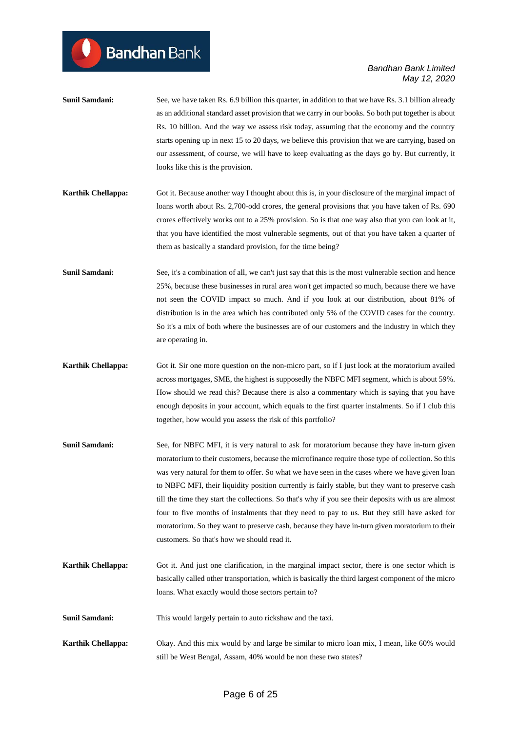- **Sunil Samdani:** See, we have taken Rs. 6.9 billion this quarter, in addition to that we have Rs. 3.1 billion already as an additional standard asset provision that we carry in our books. So both put together is about Rs. 10 billion. And the way we assess risk today, assuming that the economy and the country starts opening up in next 15 to 20 days, we believe this provision that we are carrying, based on our assessment, of course, we will have to keep evaluating as the days go by. But currently, it looks like this is the provision.
- **Karthik Chellappa:** Got it. Because another way I thought about this is, in your disclosure of the marginal impact of loans worth about Rs. 2,700-odd crores, the general provisions that you have taken of Rs. 690 crores effectively works out to a 25% provision. So is that one way also that you can look at it, that you have identified the most vulnerable segments, out of that you have taken a quarter of them as basically a standard provision, for the time being?
- **Sunil Samdani:** See, it's a combination of all, we can't just say that this is the most vulnerable section and hence 25%, because these businesses in rural area won't get impacted so much, because there we have not seen the COVID impact so much. And if you look at our distribution, about 81% of distribution is in the area which has contributed only 5% of the COVID cases for the country. So it's a mix of both where the businesses are of our customers and the industry in which they are operating in.
- **Karthik Chellappa:** Got it. Sir one more question on the non-micro part, so if I just look at the moratorium availed across mortgages, SME, the highest is supposedly the NBFC MFI segment, which is about 59%. How should we read this? Because there is also a commentary which is saying that you have enough deposits in your account, which equals to the first quarter instalments. So if I club this together, how would you assess the risk of this portfolio?
- **Sunil Samdani:** See, for NBFC MFI, it is very natural to ask for moratorium because they have in-turn given moratorium to their customers, because the microfinance require those type of collection. So this was very natural for them to offer. So what we have seen in the cases where we have given loan to NBFC MFI, their liquidity position currently is fairly stable, but they want to preserve cash till the time they start the collections. So that's why if you see their deposits with us are almost four to five months of instalments that they need to pay to us. But they still have asked for moratorium. So they want to preserve cash, because they have in-turn given moratorium to their customers. So that's how we should read it.
- **Karthik Chellappa:** Got it. And just one clarification, in the marginal impact sector, there is one sector which is basically called other transportation, which is basically the third largest component of the micro loans. What exactly would those sectors pertain to?
- **Sunil Samdani:** This would largely pertain to auto rickshaw and the taxi.
- **Karthik Chellappa:** Okay. And this mix would by and large be similar to micro loan mix, I mean, like 60% would still be West Bengal, Assam, 40% would be non these two states?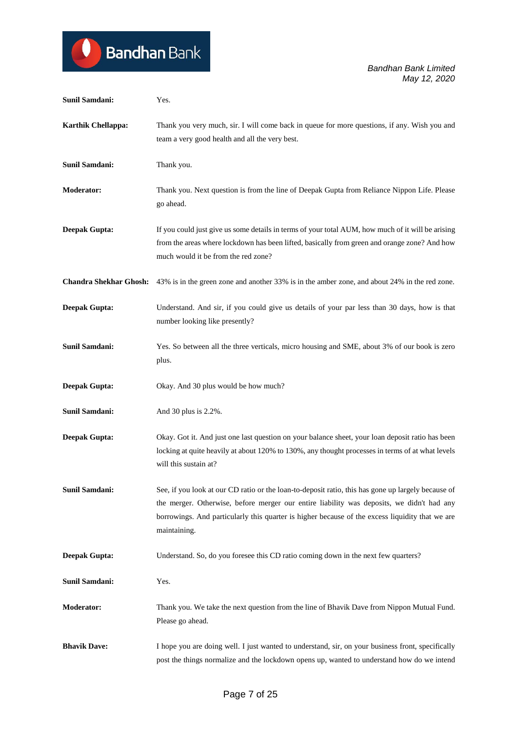## Bandhan Bank  $\boldsymbol{\mathsf{Q}}$

*Bandhan Bank Limited May 12, 2020*

| Sunil Samdani:                | Yes.                                                                                                                                                                                                                                                                                                               |
|-------------------------------|--------------------------------------------------------------------------------------------------------------------------------------------------------------------------------------------------------------------------------------------------------------------------------------------------------------------|
| Karthik Chellappa:            | Thank you very much, sir. I will come back in queue for more questions, if any. Wish you and<br>team a very good health and all the very best.                                                                                                                                                                     |
| <b>Sunil Samdani:</b>         | Thank you.                                                                                                                                                                                                                                                                                                         |
| <b>Moderator:</b>             | Thank you. Next question is from the line of Deepak Gupta from Reliance Nippon Life. Please<br>go ahead.                                                                                                                                                                                                           |
| <b>Deepak Gupta:</b>          | If you could just give us some details in terms of your total AUM, how much of it will be arising<br>from the areas where lockdown has been lifted, basically from green and orange zone? And how<br>much would it be from the red zone?                                                                           |
| <b>Chandra Shekhar Ghosh:</b> | 43% is in the green zone and another 33% is in the amber zone, and about 24% in the red zone.                                                                                                                                                                                                                      |
| <b>Deepak Gupta:</b>          | Understand. And sir, if you could give us details of your par less than 30 days, how is that<br>number looking like presently?                                                                                                                                                                                     |
| Sunil Samdani:                | Yes. So between all the three verticals, micro housing and SME, about 3% of our book is zero<br>plus.                                                                                                                                                                                                              |
| <b>Deepak Gupta:</b>          | Okay. And 30 plus would be how much?                                                                                                                                                                                                                                                                               |
| <b>Sunil Samdani:</b>         | And 30 plus is 2.2%.                                                                                                                                                                                                                                                                                               |
| <b>Deepak Gupta:</b>          | Okay. Got it. And just one last question on your balance sheet, your loan deposit ratio has been<br>locking at quite heavily at about 120% to 130%, any thought processes in terms of at what levels<br>will this sustain at?                                                                                      |
| Sunil Samdani:                | See, if you look at our CD ratio or the loan-to-deposit ratio, this has gone up largely because of<br>the merger. Otherwise, before merger our entire liability was deposits, we didn't had any<br>borrowings. And particularly this quarter is higher because of the excess liquidity that we are<br>maintaining. |
| <b>Deepak Gupta:</b>          | Understand. So, do you foresee this CD ratio coming down in the next few quarters?                                                                                                                                                                                                                                 |
| Sunil Samdani:                | Yes.                                                                                                                                                                                                                                                                                                               |
| <b>Moderator:</b>             | Thank you. We take the next question from the line of Bhavik Dave from Nippon Mutual Fund.<br>Please go ahead.                                                                                                                                                                                                     |
| <b>Bhavik Dave:</b>           | I hope you are doing well. I just wanted to understand, sir, on your business front, specifically<br>post the things normalize and the lockdown opens up, wanted to understand how do we intend                                                                                                                    |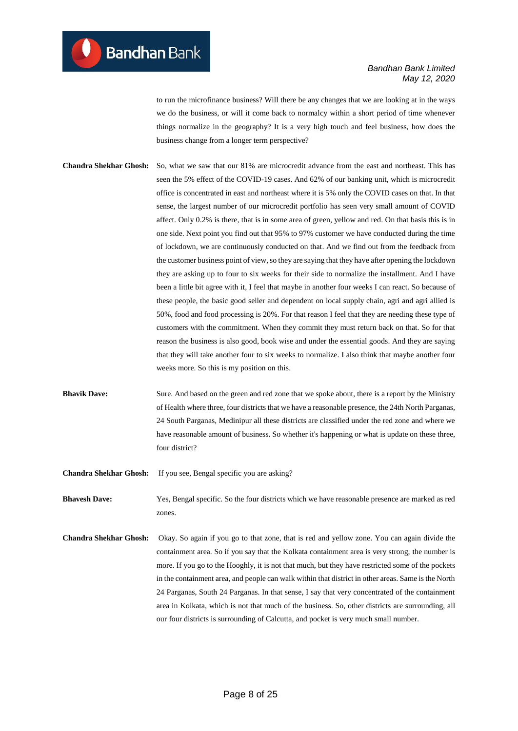to run the microfinance business? Will there be any changes that we are looking at in the ways we do the business, or will it come back to normalcy within a short period of time whenever things normalize in the geography? It is a very high touch and feel business, how does the business change from a longer term perspective?

**Chandra Shekhar Ghosh:** So, what we saw that our 81% are microcredit advance from the east and northeast. This has seen the 5% effect of the COVID-19 cases. And 62% of our banking unit, which is microcredit office is concentrated in east and northeast where it is 5% only the COVID cases on that. In that sense, the largest number of our microcredit portfolio has seen very small amount of COVID affect. Only 0.2% is there, that is in some area of green, yellow and red. On that basis this is in one side. Next point you find out that 95% to 97% customer we have conducted during the time of lockdown, we are continuously conducted on that. And we find out from the feedback from the customer business point of view, so they are saying that they have after opening the lockdown they are asking up to four to six weeks for their side to normalize the installment. And I have been a little bit agree with it, I feel that maybe in another four weeks I can react. So because of these people, the basic good seller and dependent on local supply chain, agri and agri allied is 50%, food and food processing is 20%. For that reason I feel that they are needing these type of customers with the commitment. When they commit they must return back on that. So for that reason the business is also good, book wise and under the essential goods. And they are saying that they will take another four to six weeks to normalize. I also think that maybe another four weeks more. So this is my position on this.

**Bhavik Dave:** Sure. And based on the green and red zone that we spoke about, there is a report by the Ministry of Health where three, four districts that we have a reasonable presence, the 24th North Parganas, 24 South Parganas, Medinipur all these districts are classified under the red zone and where we have reasonable amount of business. So whether it's happening or what is update on these three, four district?

**Chandra Shekhar Ghosh:** If you see, Bengal specific you are asking?

**Bhavesh Dave:** Yes, Bengal specific. So the four districts which we have reasonable presence are marked as red zones.

**Chandra Shekhar Ghosh:** Okay. So again if you go to that zone, that is red and yellow zone. You can again divide the containment area. So if you say that the Kolkata containment area is very strong, the number is more. If you go to the Hooghly, it is not that much, but they have restricted some of the pockets in the containment area, and people can walk within that district in other areas. Same is the North 24 Parganas, South 24 Parganas. In that sense, I say that very concentrated of the containment area in Kolkata, which is not that much of the business. So, other districts are surrounding, all our four districts is surrounding of Calcutta, and pocket is very much small number.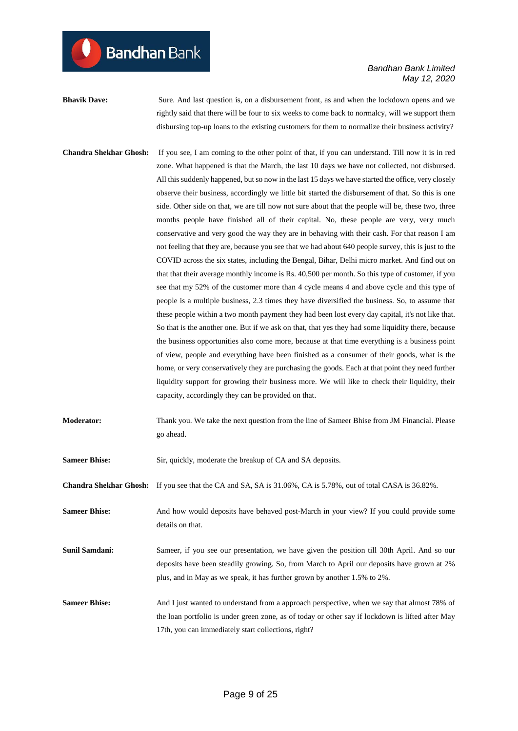**Bhavik Dave:** Sure. And last question is, on a disbursement front, as and when the lockdown opens and we rightly said that there will be four to six weeks to come back to normalcy, will we support them disbursing top-up loans to the existing customers for them to normalize their business activity?

- **Chandra Shekhar Ghosh:** If you see, I am coming to the other point of that, if you can understand. Till now it is in red zone. What happened is that the March, the last 10 days we have not collected, not disbursed. All this suddenly happened, but so now in the last 15 days we have started the office, very closely observe their business, accordingly we little bit started the disbursement of that. So this is one side. Other side on that, we are till now not sure about that the people will be, these two, three months people have finished all of their capital. No, these people are very, very much conservative and very good the way they are in behaving with their cash. For that reason I am not feeling that they are, because you see that we had about 640 people survey, this is just to the COVID across the six states, including the Bengal, Bihar, Delhi micro market. And find out on that that their average monthly income is Rs. 40,500 per month. So this type of customer, if you see that my 52% of the customer more than 4 cycle means 4 and above cycle and this type of people is a multiple business, 2.3 times they have diversified the business. So, to assume that these people within a two month payment they had been lost every day capital, it's not like that. So that is the another one. But if we ask on that, that yes they had some liquidity there, because the business opportunities also come more, because at that time everything is a business point of view, people and everything have been finished as a consumer of their goods, what is the home, or very conservatively they are purchasing the goods. Each at that point they need further liquidity support for growing their business more. We will like to check their liquidity, their capacity, accordingly they can be provided on that.
- **Moderator:** Thank you. We take the next question from the line of Sameer Bhise from JM Financial. Please go ahead.

**Sameer Bhise:** Sir, quickly, moderate the breakup of CA and SA deposits.

**Chandra Shekhar Ghosh:** If you see that the CA and SA, SA is 31.06%, CA is 5.78%, out of total CASA is 36.82%.

**Sameer Bhise:** And how would deposits have behaved post-March in your view? If you could provide some details on that.

- **Sunil Samdani:** Sameer, if you see our presentation, we have given the position till 30th April. And so our deposits have been steadily growing. So, from March to April our deposits have grown at 2% plus, and in May as we speak, it has further grown by another 1.5% to 2%.
- Sameer Bhise: And I just wanted to understand from a approach perspective, when we say that almost 78% of the loan portfolio is under green zone, as of today or other say if lockdown is lifted after May 17th, you can immediately start collections, right?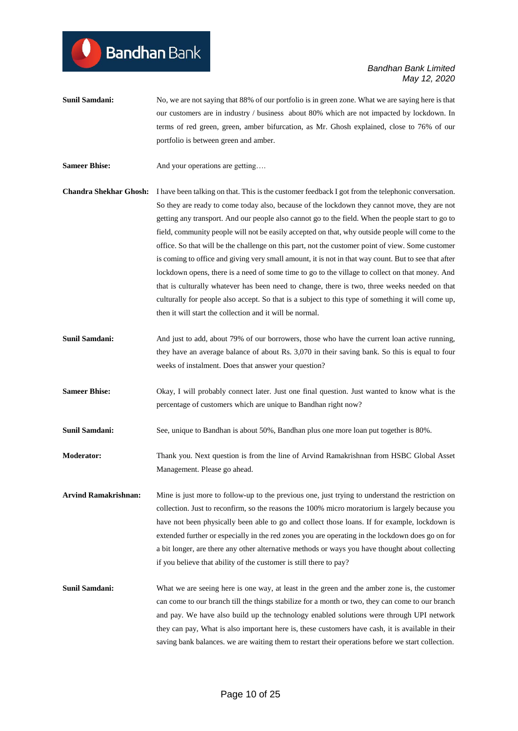- **Sunil Samdani:** No, we are not saying that 88% of our portfolio is in green zone. What we are saying here is that our customers are in industry / business about 80% which are not impacted by lockdown. In terms of red green, green, amber bifurcation, as Mr. Ghosh explained, close to 76% of our portfolio is between green and amber.
- **Sameer Bhise:** And your operations are getting….

**Bandhan** Bank

- **Chandra Shekhar Ghosh:** I have been talking on that. This is the customer feedback I got from the telephonic conversation. So they are ready to come today also, because of the lockdown they cannot move, they are not getting any transport. And our people also cannot go to the field. When the people start to go to field, community people will not be easily accepted on that, why outside people will come to the office. So that will be the challenge on this part, not the customer point of view. Some customer is coming to office and giving very small amount, it is not in that way count. But to see that after lockdown opens, there is a need of some time to go to the village to collect on that money. And that is culturally whatever has been need to change, there is two, three weeks needed on that culturally for people also accept. So that is a subject to this type of something it will come up, then it will start the collection and it will be normal.
- **Sunil Samdani:** And just to add, about 79% of our borrowers, those who have the current loan active running, they have an average balance of about Rs. 3,070 in their saving bank. So this is equal to four weeks of instalment. Does that answer your question?
- **Sameer Bhise:** Okay, I will probably connect later. Just one final question. Just wanted to know what is the percentage of customers which are unique to Bandhan right now?
- **Sunil Samdani:** See, unique to Bandhan is about 50%, Bandhan plus one more loan put together is 80%.
- **Moderator:** Thank you. Next question is from the line of Arvind Ramakrishnan from HSBC Global Asset Management. Please go ahead.

**Arvind Ramakrishnan:** Mine is just more to follow-up to the previous one, just trying to understand the restriction on collection. Just to reconfirm, so the reasons the 100% micro moratorium is largely because you have not been physically been able to go and collect those loans. If for example, lockdown is extended further or especially in the red zones you are operating in the lockdown does go on for a bit longer, are there any other alternative methods or ways you have thought about collecting if you believe that ability of the customer is still there to pay?

**Sunil Samdani:** What we are seeing here is one way, at least in the green and the amber zone is, the customer can come to our branch till the things stabilize for a month or two, they can come to our branch and pay. We have also build up the technology enabled solutions were through UPI network they can pay, What is also important here is, these customers have cash, it is available in their saving bank balances. we are waiting them to restart their operations before we start collection.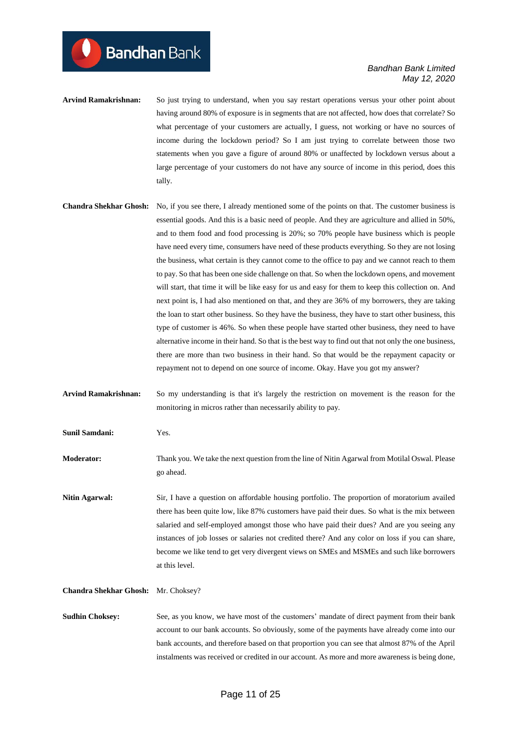- **Arvind Ramakrishnan:** So just trying to understand, when you say restart operations versus your other point about having around 80% of exposure is in segments that are not affected, how does that correlate? So what percentage of your customers are actually, I guess, not working or have no sources of income during the lockdown period? So I am just trying to correlate between those two statements when you gave a figure of around 80% or unaffected by lockdown versus about a large percentage of your customers do not have any source of income in this period, does this tally.
- **Chandra Shekhar Ghosh:** No, if you see there, I already mentioned some of the points on that. The customer business is essential goods. And this is a basic need of people. And they are agriculture and allied in 50%, and to them food and food processing is 20%; so 70% people have business which is people have need every time, consumers have need of these products everything. So they are not losing the business, what certain is they cannot come to the office to pay and we cannot reach to them to pay. So that has been one side challenge on that. So when the lockdown opens, and movement will start, that time it will be like easy for us and easy for them to keep this collection on. And next point is, I had also mentioned on that, and they are 36% of my borrowers, they are taking the loan to start other business. So they have the business, they have to start other business, this type of customer is 46%. So when these people have started other business, they need to have alternative income in their hand. So that is the best way to find out that not only the one business, there are more than two business in their hand. So that would be the repayment capacity or repayment not to depend on one source of income. Okay. Have you got my answer?

**Arvind Ramakrishnan:** So my understanding is that it's largely the restriction on movement is the reason for the monitoring in micros rather than necessarily ability to pay.

**Sunil Samdani:** Yes.

**Bandhan** Bank

**Moderator:** Thank you. We take the next question from the line of Nitin Agarwal from Motilal Oswal. Please go ahead.

**Nitin Agarwal:** Sir, I have a question on affordable housing portfolio. The proportion of moratorium availed there has been quite low, like 87% customers have paid their dues. So what is the mix between salaried and self-employed amongst those who have paid their dues? And are you seeing any instances of job losses or salaries not credited there? And any color on loss if you can share, become we like tend to get very divergent views on SMEs and MSMEs and such like borrowers at this level.

#### **Chandra Shekhar Ghosh:** Mr. Choksey?

**Sudhin Choksey:** See, as you know, we have most of the customers' mandate of direct payment from their bank account to our bank accounts. So obviously, some of the payments have already come into our bank accounts, and therefore based on that proportion you can see that almost 87% of the April instalments was received or credited in our account. As more and more awareness is being done,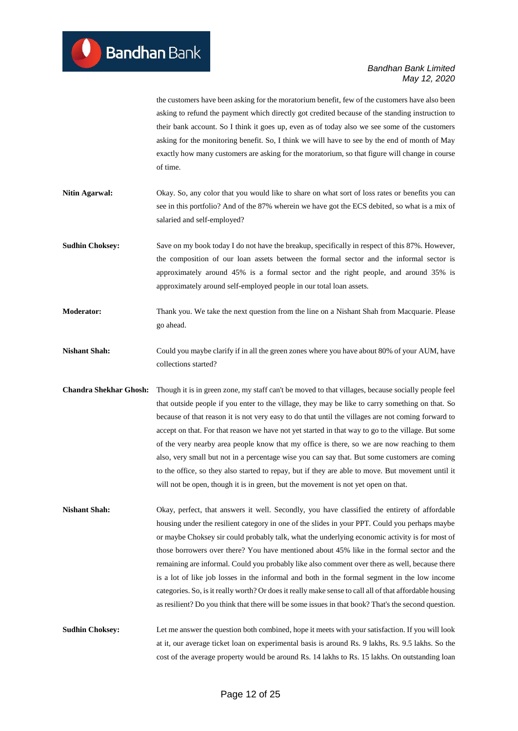the customers have been asking for the moratorium benefit, few of the customers have also been asking to refund the payment which directly got credited because of the standing instruction to their bank account. So I think it goes up, even as of today also we see some of the customers asking for the monitoring benefit. So, I think we will have to see by the end of month of May exactly how many customers are asking for the moratorium, so that figure will change in course of time.

- **Nitin Agarwal:** Okay. So, any color that you would like to share on what sort of loss rates or benefits you can see in this portfolio? And of the 87% wherein we have got the ECS debited, so what is a mix of salaried and self-employed?
- **Sudhin Choksey:** Save on my book today I do not have the breakup, specifically in respect of this 87%. However, the composition of our loan assets between the formal sector and the informal sector is approximately around 45% is a formal sector and the right people, and around 35% is approximately around self-employed people in our total loan assets.
- **Moderator:** Thank you. We take the next question from the line on a Nishant Shah from Macquarie. Please go ahead.
- **Nishant Shah:** Could you maybe clarify if in all the green zones where you have about 80% of your AUM, have collections started?
- **Chandra Shekhar Ghosh:** Though it is in green zone, my staff can't be moved to that villages, because socially people feel that outside people if you enter to the village, they may be like to carry something on that. So because of that reason it is not very easy to do that until the villages are not coming forward to accept on that. For that reason we have not yet started in that way to go to the village. But some of the very nearby area people know that my office is there, so we are now reaching to them also, very small but not in a percentage wise you can say that. But some customers are coming to the office, so they also started to repay, but if they are able to move. But movement until it will not be open, though it is in green, but the movement is not yet open on that.
- Nishant Shah: Okay, perfect, that answers it well. Secondly, you have classified the entirety of affordable housing under the resilient category in one of the slides in your PPT. Could you perhaps maybe or maybe Choksey sir could probably talk, what the underlying economic activity is for most of those borrowers over there? You have mentioned about 45% like in the formal sector and the remaining are informal. Could you probably like also comment over there as well, because there is a lot of like job losses in the informal and both in the formal segment in the low income categories. So, is it really worth? Or does it really make sense to call all of that affordable housing as resilient? Do you think that there will be some issues in that book? That's the second question.
- **Sudhin Choksey:** Let me answer the question both combined, hope it meets with your satisfaction. If you will look at it, our average ticket loan on experimental basis is around Rs. 9 lakhs, Rs. 9.5 lakhs. So the cost of the average property would be around Rs. 14 lakhs to Rs. 15 lakhs. On outstanding loan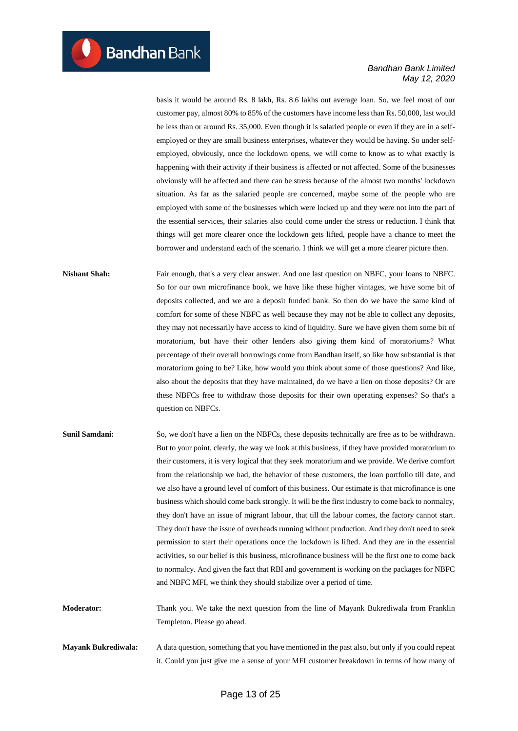basis it would be around Rs. 8 lakh, Rs. 8.6 lakhs out average loan. So, we feel most of our customer pay, almost 80% to 85% of the customers have income less than Rs. 50,000, last would be less than or around Rs. 35,000. Even though it is salaried people or even if they are in a selfemployed or they are small business enterprises, whatever they would be having. So under selfemployed, obviously, once the lockdown opens, we will come to know as to what exactly is happening with their activity if their business is affected or not affected. Some of the businesses obviously will be affected and there can be stress because of the almost two months' lockdown situation. As far as the salaried people are concerned, maybe some of the people who are employed with some of the businesses which were locked up and they were not into the part of the essential services, their salaries also could come under the stress or reduction. I think that things will get more clearer once the lockdown gets lifted, people have a chance to meet the borrower and understand each of the scenario. I think we will get a more clearer picture then.

**Nishant Shah:** Fair enough, that's a very clear answer. And one last question on NBFC, your loans to NBFC. So for our own microfinance book, we have like these higher vintages, we have some bit of deposits collected, and we are a deposit funded bank. So then do we have the same kind of comfort for some of these NBFC as well because they may not be able to collect any deposits, they may not necessarily have access to kind of liquidity. Sure we have given them some bit of moratorium, but have their other lenders also giving them kind of moratoriums? What percentage of their overall borrowings come from Bandhan itself, so like how substantial is that moratorium going to be? Like, how would you think about some of those questions? And like, also about the deposits that they have maintained, do we have a lien on those deposits? Or are these NBFCs free to withdraw those deposits for their own operating expenses? So that's a question on NBFCs.

**Sunil Samdani:** So, we don't have a lien on the NBFCs, these deposits technically are free as to be withdrawn. But to your point, clearly, the way we look at this business, if they have provided moratorium to their customers, it is very logical that they seek moratorium and we provide. We derive comfort from the relationship we had, the behavior of these customers, the loan portfolio till date, and we also have a ground level of comfort of this business. Our estimate is that microfinance is one business which should come back strongly. It will be the first industry to come back to normalcy, they don't have an issue of migrant labour, that till the labour comes, the factory cannot start. They don't have the issue of overheads running without production. And they don't need to seek permission to start their operations once the lockdown is lifted. And they are in the essential activities, so our belief is this business, microfinance business will be the first one to come back to normalcy. And given the fact that RBI and government is working on the packages for NBFC and NBFC MFI, we think they should stabilize over a period of time.

**Moderator:** Thank you. We take the next question from the line of Mayank Bukrediwala from Franklin Templeton. Please go ahead.

**Mayank Bukrediwala:** A data question, something that you have mentioned in the past also, but only if you could repeat it. Could you just give me a sense of your MFI customer breakdown in terms of how many of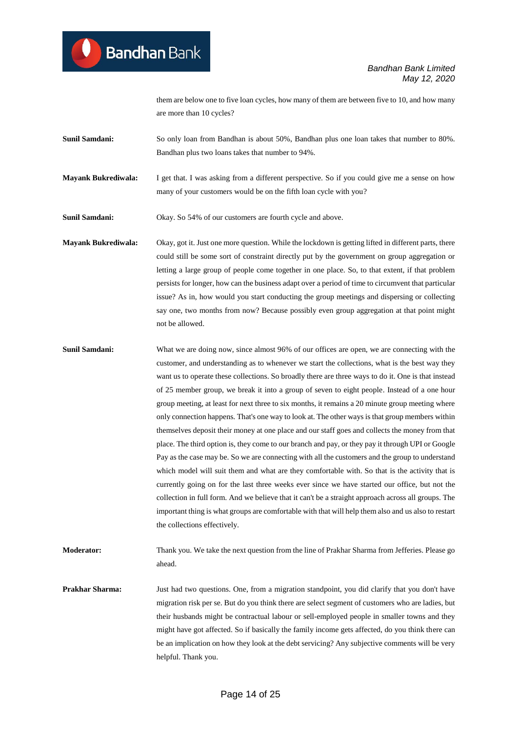them are below one to five loan cycles, how many of them are between five to 10, and how many are more than 10 cycles?

**Sunil Samdani:** So only loan from Bandhan is about 50%. Bandhan plus one loan takes that number to 80%. Bandhan plus two loans takes that number to 94%.

**Mayank Bukrediwala:** I get that. I was asking from a different perspective. So if you could give me a sense on how many of your customers would be on the fifth loan cycle with you?

Sunil Samdani: Okay. So 54% of our customers are fourth cycle and above.

**Mayank Bukrediwala:** Okay, got it. Just one more question. While the lockdown is getting lifted in different parts, there could still be some sort of constraint directly put by the government on group aggregation or letting a large group of people come together in one place. So, to that extent, if that problem persists for longer, how can the business adapt over a period of time to circumvent that particular issue? As in, how would you start conducting the group meetings and dispersing or collecting say one, two months from now? Because possibly even group aggregation at that point might not be allowed.

**Sunil Samdani:** What we are doing now, since almost 96% of our offices are open, we are connecting with the customer, and understanding as to whenever we start the collections, what is the best way they want us to operate these collections. So broadly there are three ways to do it. One is that instead of 25 member group, we break it into a group of seven to eight people. Instead of a one hour group meeting, at least for next three to six months, it remains a 20 minute group meeting where only connection happens. That's one way to look at. The other ways is that group members within themselves deposit their money at one place and our staff goes and collects the money from that place. The third option is, they come to our branch and pay, or they pay it through UPI or Google Pay as the case may be. So we are connecting with all the customers and the group to understand which model will suit them and what are they comfortable with. So that is the activity that is currently going on for the last three weeks ever since we have started our office, but not the collection in full form. And we believe that it can't be a straight approach across all groups. The important thing is what groups are comfortable with that will help them also and us also to restart the collections effectively.

**Moderator:** Thank you. We take the next question from the line of Prakhar Sharma from Jefferies. Please go ahead.

**Prakhar Sharma:** Just had two questions. One, from a migration standpoint, you did clarify that you don't have migration risk per se. But do you think there are select segment of customers who are ladies, but their husbands might be contractual labour or sell-employed people in smaller towns and they might have got affected. So if basically the family income gets affected, do you think there can be an implication on how they look at the debt servicing? Any subjective comments will be very helpful. Thank you.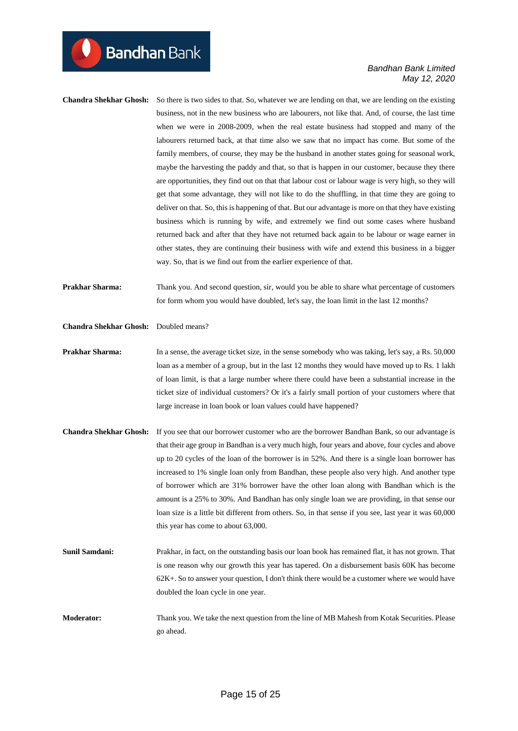**Chandra Shekhar Ghosh:** So there is two sides to that. So, whatever we are lending on that, we are lending on the existing business, not in the new business who are labourers, not like that. And, of course, the last time when we were in 2008-2009, when the real estate business had stopped and many of the labourers returned back, at that time also we saw that no impact has come. But some of the family members, of course, they may be the husband in another states going for seasonal work, maybe the harvesting the paddy and that, so that is happen in our customer, because they there are opportunities, they find out on that that labour cost or labour wage is very high, so they will get that some advantage, they will not like to do the shuffling, in that time they are going to deliver on that. So, this is happening of that. But our advantage is more on that they have existing business which is running by wife, and extremely we find out some cases where husband returned back and after that they have not returned back again to be labour or wage earner in other states, they are continuing their business with wife and extend this business in a bigger way. So, that is we find out from the earlier experience of that.

**Prakhar Sharma:** Thank you. And second question, sir, would you be able to share what percentage of customers for form whom you would have doubled, let's say, the loan limit in the last 12 months?

**Chandra Shekhar Ghosh:** Doubled means?

**Bandhan** Bank

- **Prakhar Sharma:** In a sense, the average ticket size, in the sense somebody who was taking, let's say, a Rs. 50,000 loan as a member of a group, but in the last 12 months they would have moved up to Rs. 1 lakh of loan limit, is that a large number where there could have been a substantial increase in the ticket size of individual customers? Or it's a fairly small portion of your customers where that large increase in loan book or loan values could have happened?
- **Chandra Shekhar Ghosh:** If you see that our borrower customer who are the borrower Bandhan Bank, so our advantage is that their age group in Bandhan is a very much high, four years and above, four cycles and above up to 20 cycles of the loan of the borrower is in 52%. And there is a single loan borrower has increased to 1% single loan only from Bandhan, these people also very high. And another type of borrower which are 31% borrower have the other loan along with Bandhan which is the amount is a 25% to 30%. And Bandhan has only single loan we are providing, in that sense our loan size is a little bit different from others. So, in that sense if you see, last year it was 60,000 this year has come to about 63,000.
- **Sunil Samdani:** Prakhar, in fact, on the outstanding basis our loan book has remained flat, it has not grown. That is one reason why our growth this year has tapered. On a disbursement basis 60K has become 62K+. So to answer your question, I don't think there would be a customer where we would have doubled the loan cycle in one year.
- **Moderator:** Thank you. We take the next question from the line of MB Mahesh from Kotak Securities. Please go ahead.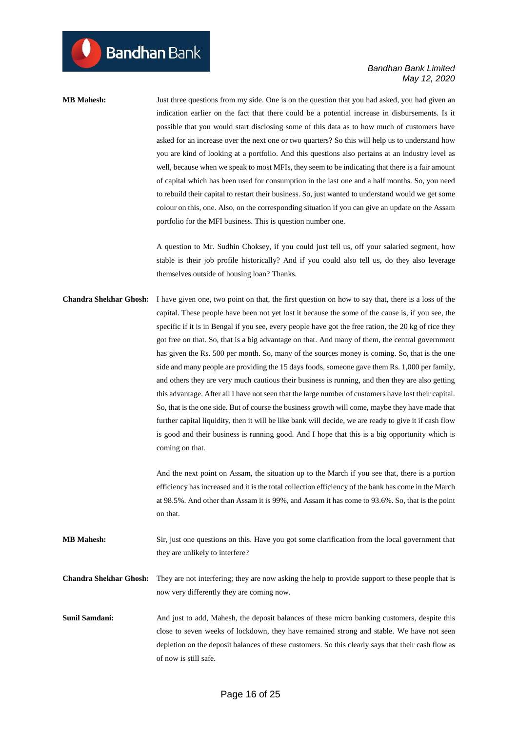**MB Mahesh:** Just three questions from my side. One is on the question that you had asked, you had given an indication earlier on the fact that there could be a potential increase in disbursements. Is it possible that you would start disclosing some of this data as to how much of customers have asked for an increase over the next one or two quarters? So this will help us to understand how you are kind of looking at a portfolio. And this questions also pertains at an industry level as well, because when we speak to most MFIs, they seem to be indicating that there is a fair amount of capital which has been used for consumption in the last one and a half months. So, you need to rebuild their capital to restart their business. So, just wanted to understand would we get some colour on this, one. Also, on the corresponding situation if you can give an update on the Assam portfolio for the MFI business. This is question number one.

> A question to Mr. Sudhin Choksey, if you could just tell us, off your salaried segment, how stable is their job profile historically? And if you could also tell us, do they also leverage themselves outside of housing loan? Thanks.

**Chandra Shekhar Ghosh:** I have given one, two point on that, the first question on how to say that, there is a loss of the capital. These people have been not yet lost it because the some of the cause is, if you see, the specific if it is in Bengal if you see, every people have got the free ration, the 20 kg of rice they got free on that. So, that is a big advantage on that. And many of them, the central government has given the Rs. 500 per month. So, many of the sources money is coming. So, that is the one side and many people are providing the 15 days foods, someone gave them Rs. 1,000 per family, and others they are very much cautious their business is running, and then they are also getting this advantage. After all I have not seen that the large number of customers have lost their capital. So, that is the one side. But of course the business growth will come, maybe they have made that further capital liquidity, then it will be like bank will decide, we are ready to give it if cash flow is good and their business is running good. And I hope that this is a big opportunity which is coming on that.

> And the next point on Assam, the situation up to the March if you see that, there is a portion efficiency has increased and it is the total collection efficiency of the bank has come in the March at 98.5%. And other than Assam it is 99%, and Assam it has come to 93.6%. So, that is the point on that.

**MB Mahesh:** Sir, just one questions on this. Have you got some clarification from the local government that they are unlikely to interfere?

**Chandra Shekhar Ghosh:** They are not interfering; they are now asking the help to provide support to these people that is now very differently they are coming now.

**Sunil Samdani:** And just to add, Mahesh, the deposit balances of these micro banking customers, despite this close to seven weeks of lockdown, they have remained strong and stable. We have not seen depletion on the deposit balances of these customers. So this clearly says that their cash flow as of now is still safe.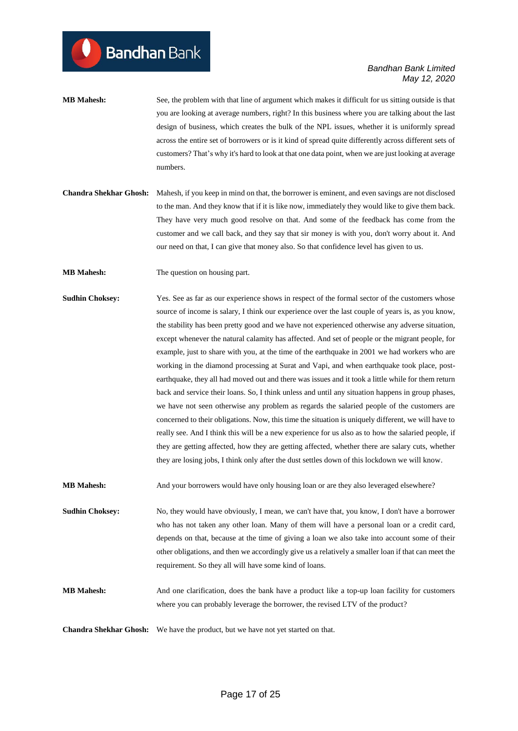- **MB Mahesh:** See, the problem with that line of argument which makes it difficult for us sitting outside is that you are looking at average numbers, right? In this business where you are talking about the last design of business, which creates the bulk of the NPL issues, whether it is uniformly spread across the entire set of borrowers or is it kind of spread quite differently across different sets of customers? That's why it's hard to look at that one data point, when we are just looking at average numbers.
- **Chandra Shekhar Ghosh:** Mahesh, if you keep in mind on that, the borrower is eminent, and even savings are not disclosed to the man. And they know that if it is like now, immediately they would like to give them back. They have very much good resolve on that. And some of the feedback has come from the customer and we call back, and they say that sir money is with you, don't worry about it. And our need on that, I can give that money also. So that confidence level has given to us.

**MB Mahesh:** The question on housing part.

**Sudhin Choksey:** Yes. See as far as our experience shows in respect of the formal sector of the customers whose source of income is salary, I think our experience over the last couple of years is, as you know, the stability has been pretty good and we have not experienced otherwise any adverse situation, except whenever the natural calamity has affected. And set of people or the migrant people, for example, just to share with you, at the time of the earthquake in 2001 we had workers who are working in the diamond processing at Surat and Vapi, and when earthquake took place, postearthquake, they all had moved out and there was issues and it took a little while for them return back and service their loans. So, I think unless and until any situation happens in group phases, we have not seen otherwise any problem as regards the salaried people of the customers are concerned to their obligations. Now, this time the situation is uniquely different, we will have to really see. And I think this will be a new experience for us also as to how the salaried people, if they are getting affected, how they are getting affected, whether there are salary cuts, whether they are losing jobs, I think only after the dust settles down of this lockdown we will know.

**MB Mahesh:** And your borrowers would have only housing loan or are they also leveraged elsewhere?

**Sudhin Choksey:** No, they would have obviously, I mean, we can't have that, you know, I don't have a borrower who has not taken any other loan. Many of them will have a personal loan or a credit card, depends on that, because at the time of giving a loan we also take into account some of their other obligations, and then we accordingly give us a relatively a smaller loan if that can meet the requirement. So they all will have some kind of loans.

**MB Mahesh:** And one clarification, does the bank have a product like a top-up loan facility for customers where you can probably leverage the borrower, the revised LTV of the product?

**Chandra Shekhar Ghosh:** We have the product, but we have not yet started on that.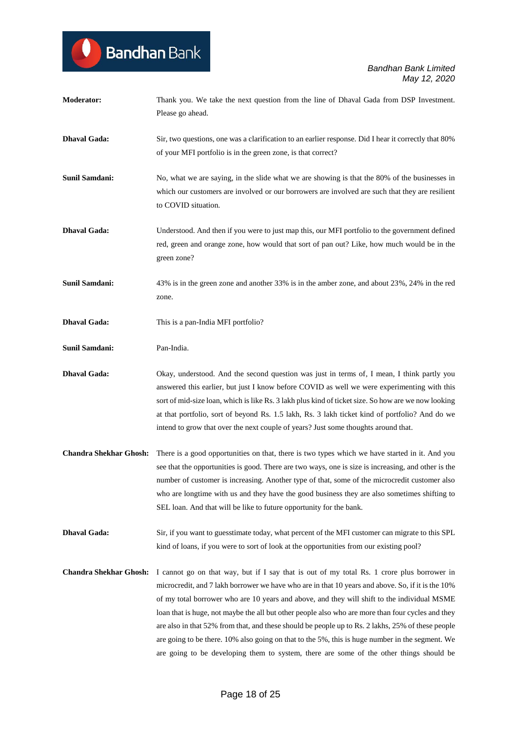| <b>Moderator:</b>             | Thank you. We take the next question from the line of Dhaval Gada from DSP Investment.<br>Please go ahead.                                                                                                                                                                                                                                                                                                                                                                                                                                                                                                                                                                                             |
|-------------------------------|--------------------------------------------------------------------------------------------------------------------------------------------------------------------------------------------------------------------------------------------------------------------------------------------------------------------------------------------------------------------------------------------------------------------------------------------------------------------------------------------------------------------------------------------------------------------------------------------------------------------------------------------------------------------------------------------------------|
| <b>Dhaval Gada:</b>           | Sir, two questions, one was a clarification to an earlier response. Did I hear it correctly that 80%<br>of your MFI portfolio is in the green zone, is that correct?                                                                                                                                                                                                                                                                                                                                                                                                                                                                                                                                   |
| Sunil Samdani:                | No, what we are saying, in the slide what we are showing is that the 80% of the businesses in<br>which our customers are involved or our borrowers are involved are such that they are resilient<br>to COVID situation.                                                                                                                                                                                                                                                                                                                                                                                                                                                                                |
| <b>Dhaval Gada:</b>           | Understood. And then if you were to just map this, our MFI portfolio to the government defined<br>red, green and orange zone, how would that sort of pan out? Like, how much would be in the<br>green zone?                                                                                                                                                                                                                                                                                                                                                                                                                                                                                            |
| Sunil Samdani:                | 43% is in the green zone and another 33% is in the amber zone, and about 23%, 24% in the red<br>zone.                                                                                                                                                                                                                                                                                                                                                                                                                                                                                                                                                                                                  |
| <b>Dhaval Gada:</b>           | This is a pan-India MFI portfolio?                                                                                                                                                                                                                                                                                                                                                                                                                                                                                                                                                                                                                                                                     |
| <b>Sunil Samdani:</b>         | Pan-India.                                                                                                                                                                                                                                                                                                                                                                                                                                                                                                                                                                                                                                                                                             |
| <b>Dhaval Gada:</b>           | Okay, understood. And the second question was just in terms of, I mean, I think partly you<br>answered this earlier, but just I know before COVID as well we were experimenting with this<br>sort of mid-size loan, which is like Rs. 3 lakh plus kind of ticket size. So how are we now looking<br>at that portfolio, sort of beyond Rs. 1.5 lakh, Rs. 3 lakh ticket kind of portfolio? And do we<br>intend to grow that over the next couple of years? Just some thoughts around that.                                                                                                                                                                                                               |
| <b>Chandra Shekhar Ghosh:</b> | There is a good opportunities on that, there is two types which we have started in it. And you<br>see that the opportunities is good. There are two ways, one is size is increasing, and other is the<br>number of customer is increasing. Another type of that, some of the microcredit customer also<br>who are longtime with us and they have the good business they are also sometimes shifting to<br>SEL loan. And that will be like to future opportunity for the bank.                                                                                                                                                                                                                          |
| <b>Dhaval Gada:</b>           | Sir, if you want to guesstimate today, what percent of the MFI customer can migrate to this SPL<br>kind of loans, if you were to sort of look at the opportunities from our existing pool?                                                                                                                                                                                                                                                                                                                                                                                                                                                                                                             |
| <b>Chandra Shekhar Ghosh:</b> | I cannot go on that way, but if I say that is out of my total Rs. 1 crore plus borrower in<br>microcredit, and 7 lakh borrower we have who are in that 10 years and above. So, if it is the 10%<br>of my total borrower who are 10 years and above, and they will shift to the individual MSME<br>loan that is huge, not maybe the all but other people also who are more than four cycles and they<br>are also in that 52% from that, and these should be people up to Rs. 2 lakhs, 25% of these people<br>are going to be there. 10% also going on that to the 5%, this is huge number in the segment. We<br>are going to be developing them to system, there are some of the other things should be |

Bandhan Bank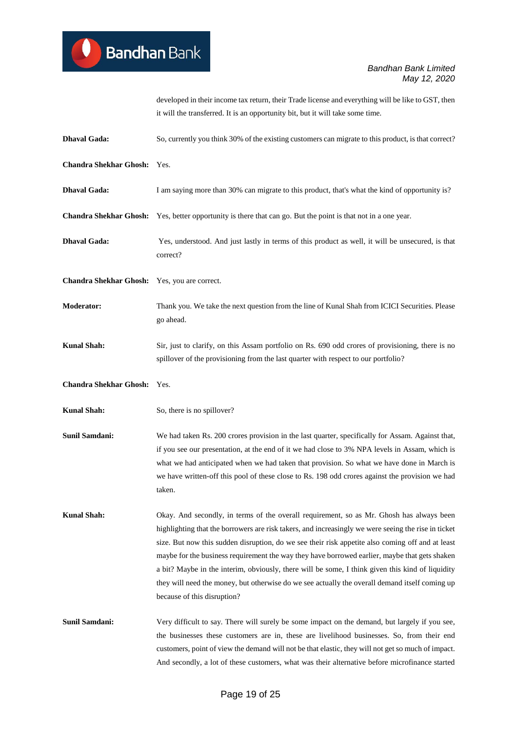developed in their income tax return, their Trade license and everything will be like to GST, then it will the transferred. It is an opportunity bit, but it will take some time.

**Dhaval Gada:** So, currently you think 30% of the existing customers can migrate to this product, is that correct? **Chandra Shekhar Ghosh:** Yes. **Dhaval Gada:** I am saying more than 30% can migrate to this product, that's what the kind of opportunity is? **Chandra Shekhar Ghosh:** Yes, better opportunity is there that can go. But the point is that not in a one year. **Dhaval Gada:** Yes, understood. And just lastly in terms of this product as well, it will be unsecured, is that correct? **Chandra Shekhar Ghosh:** Yes, you are correct. **Moderator:** Thank you. We take the next question from the line of Kunal Shah from ICICI Securities. Please go ahead. **Kunal Shah:** Sir, just to clarify, on this Assam portfolio on Rs. 690 odd crores of provisioning, there is no spillover of the provisioning from the last quarter with respect to our portfolio? **Chandra Shekhar Ghosh:** Yes. **Kunal Shah:** So, there is no spillover? **Sunil Samdani:** We had taken Rs. 200 crores provision in the last quarter, specifically for Assam. Against that, if you see our presentation, at the end of it we had close to 3% NPA levels in Assam, which is what we had anticipated when we had taken that provision. So what we have done in March is we have written-off this pool of these close to Rs. 198 odd crores against the provision we had taken. Kunal Shah: Okay. And secondly, in terms of the overall requirement, so as Mr. Ghosh has always been highlighting that the borrowers are risk takers, and increasingly we were seeing the rise in ticket size. But now this sudden disruption, do we see their risk appetite also coming off and at least maybe for the business requirement the way they have borrowed earlier, maybe that gets shaken a bit? Maybe in the interim, obviously, there will be some, I think given this kind of liquidity they will need the money, but otherwise do we see actually the overall demand itself coming up because of this disruption? **Sunil Samdani:** Very difficult to say. There will surely be some impact on the demand, but largely if you see, the businesses these customers are in, these are livelihood businesses. So, from their end customers, point of view the demand will not be that elastic, they will not get so much of impact. And secondly, a lot of these customers, what was their alternative before microfinance started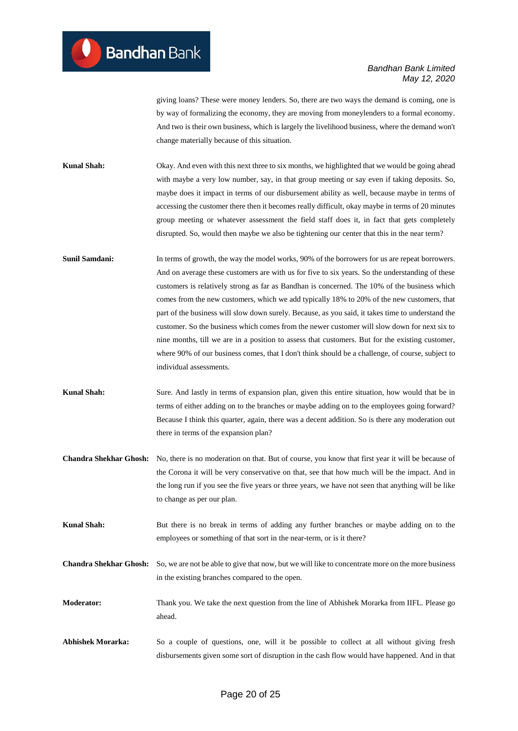giving loans? These were money lenders. So, there are two ways the demand is coming, one is by way of formalizing the economy, they are moving from moneylenders to a formal economy. And two is their own business, which is largely the livelihood business, where the demand won't change materially because of this situation.

**Kunal Shah:** Okay. And even with this next three to six months, we highlighted that we would be going ahead with maybe a very low number, say, in that group meeting or say even if taking deposits. So, maybe does it impact in terms of our disbursement ability as well, because maybe in terms of accessing the customer there then it becomes really difficult, okay maybe in terms of 20 minutes group meeting or whatever assessment the field staff does it, in fact that gets completely disrupted. So, would then maybe we also be tightening our center that this in the near term?

- **Sunil Samdani:** In terms of growth, the way the model works, 90% of the borrowers for us are repeat borrowers. And on average these customers are with us for five to six years. So the understanding of these customers is relatively strong as far as Bandhan is concerned. The 10% of the business which comes from the new customers, which we add typically 18% to 20% of the new customers, that part of the business will slow down surely. Because, as you said, it takes time to understand the customer. So the business which comes from the newer customer will slow down for next six to nine months, till we are in a position to assess that customers. But for the existing customer, where 90% of our business comes, that I don't think should be a challenge, of course, subject to individual assessments.
- **Kunal Shah:** Sure. And lastly in terms of expansion plan, given this entire situation, how would that be in terms of either adding on to the branches or maybe adding on to the employees going forward? Because I think this quarter, again, there was a decent addition. So is there any moderation out there in terms of the expansion plan?
- **Chandra Shekhar Ghosh:** No, there is no moderation on that. But of course, you know that first year it will be because of the Corona it will be very conservative on that, see that how much will be the impact. And in the long run if you see the five years or three years, we have not seen that anything will be like to change as per our plan.
- **Kunal Shah:** But there is no break in terms of adding any further branches or maybe adding on to the employees or something of that sort in the near-term, or is it there?
- **Chandra Shekhar Ghosh:** So, we are not be able to give that now, but we will like to concentrate more on the more business in the existing branches compared to the open.
- **Moderator:** Thank you. We take the next question from the line of Abhishek Morarka from IIFL. Please go ahead.
- Abhishek Morarka: So a couple of questions, one, will it be possible to collect at all without giving fresh disbursements given some sort of disruption in the cash flow would have happened. And in that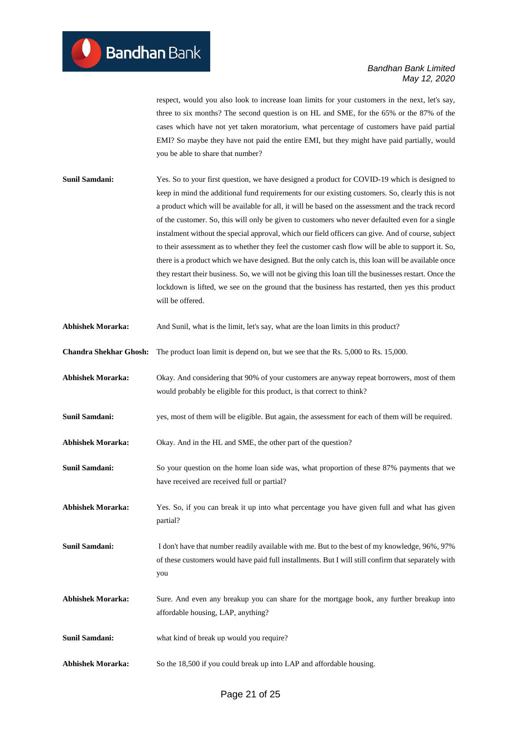respect, would you also look to increase loan limits for your customers in the next, let's say, three to six months? The second question is on HL and SME, for the 65% or the 87% of the cases which have not yet taken moratorium, what percentage of customers have paid partial EMI? So maybe they have not paid the entire EMI, but they might have paid partially, would you be able to share that number?

- **Sunil Samdani:** Yes. So to your first question, we have designed a product for COVID-19 which is designed to keep in mind the additional fund requirements for our existing customers. So, clearly this is not a product which will be available for all, it will be based on the assessment and the track record of the customer. So, this will only be given to customers who never defaulted even for a single instalment without the special approval, which our field officers can give. And of course, subject to their assessment as to whether they feel the customer cash flow will be able to support it. So, there is a product which we have designed. But the only catch is, this loan will be available once they restart their business. So, we will not be giving this loan till the businesses restart. Once the lockdown is lifted, we see on the ground that the business has restarted, then yes this product will be offered.
- **Abhishek Morarka:** And Sunil, what is the limit, let's say, what are the loan limits in this product?
- **Chandra Shekhar Ghosh:** The product loan limit is depend on, but we see that the Rs. 5,000 to Rs. 15,000.
- **Abhishek Morarka:** Okay. And considering that 90% of your customers are anyway repeat borrowers, most of them would probably be eligible for this product, is that correct to think?
- **Sunil Samdani:** yes, most of them will be eligible. But again, the assessment for each of them will be required.
- **Abhishek Morarka:** Okay. And in the HL and SME, the other part of the question?
- **Sunil Samdani:** So your question on the home loan side was, what proportion of these 87% payments that we have received are received full or partial?
- **Abhishek Morarka:** Yes. So, if you can break it up into what percentage you have given full and what has given partial?
- **Sunil Samdani:** I don't have that number readily available with me. But to the best of my knowledge, 96%, 97% of these customers would have paid full installments. But I will still confirm that separately with you
- **Abhishek Morarka:** Sure. And even any breakup you can share for the mortgage book, any further breakup into affordable housing, LAP, anything?
- **Sunil Samdani:** what kind of break up would you require?
- **Abhishek Morarka:** So the 18,500 if you could break up into LAP and affordable housing.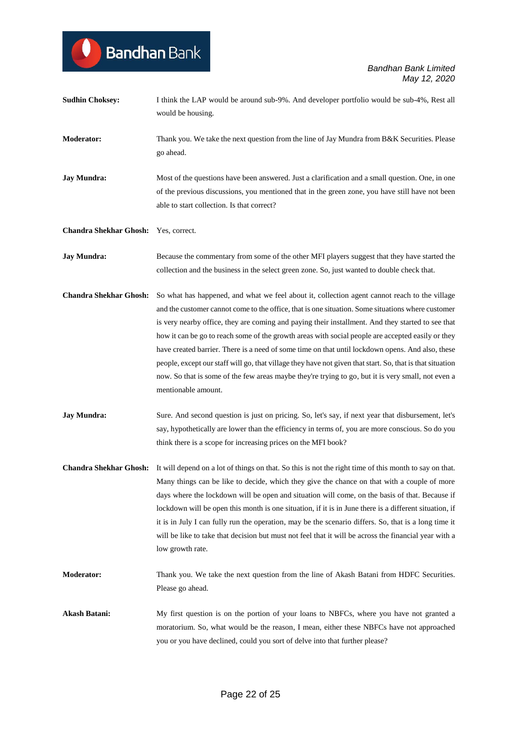| <b>Sudhin Choksey:</b>        | I think the LAP would be around sub-9%. And developer portfolio would be sub-4%, Rest all<br>would be housing.                                                                                                                                                                                                                                                                                                                                                                                                                                                                                                                                                                                                                                             |
|-------------------------------|------------------------------------------------------------------------------------------------------------------------------------------------------------------------------------------------------------------------------------------------------------------------------------------------------------------------------------------------------------------------------------------------------------------------------------------------------------------------------------------------------------------------------------------------------------------------------------------------------------------------------------------------------------------------------------------------------------------------------------------------------------|
| <b>Moderator:</b>             | Thank you. We take the next question from the line of Jay Mundra from B&K Securities. Please<br>go ahead.                                                                                                                                                                                                                                                                                                                                                                                                                                                                                                                                                                                                                                                  |
| <b>Jay Mundra:</b>            | Most of the questions have been answered. Just a clarification and a small question. One, in one<br>of the previous discussions, you mentioned that in the green zone, you have still have not been<br>able to start collection. Is that correct?                                                                                                                                                                                                                                                                                                                                                                                                                                                                                                          |
| <b>Chandra Shekhar Ghosh:</b> | Yes, correct.                                                                                                                                                                                                                                                                                                                                                                                                                                                                                                                                                                                                                                                                                                                                              |
| <b>Jay Mundra:</b>            | Because the commentary from some of the other MFI players suggest that they have started the<br>collection and the business in the select green zone. So, just wanted to double check that.                                                                                                                                                                                                                                                                                                                                                                                                                                                                                                                                                                |
| <b>Chandra Shekhar Ghosh:</b> | So what has happened, and what we feel about it, collection agent cannot reach to the village<br>and the customer cannot come to the office, that is one situation. Some situations where customer<br>is very nearby office, they are coming and paying their installment. And they started to see that<br>how it can be go to reach some of the growth areas with social people are accepted easily or they<br>have created barrier. There is a need of some time on that until lockdown opens. And also, these<br>people, except our staff will go, that village they have not given that start. So, that is that situation<br>now. So that is some of the few areas maybe they're trying to go, but it is very small, not even a<br>mentionable amount. |
| <b>Jay Mundra:</b>            | Sure. And second question is just on pricing. So, let's say, if next year that disbursement, let's<br>say, hypothetically are lower than the efficiency in terms of, you are more conscious. So do you<br>think there is a scope for increasing prices on the MFI book?                                                                                                                                                                                                                                                                                                                                                                                                                                                                                    |
| <b>Chandra Shekhar Ghosh:</b> | It will depend on a lot of things on that. So this is not the right time of this month to say on that.<br>Many things can be like to decide, which they give the chance on that with a couple of more<br>days where the lockdown will be open and situation will come, on the basis of that. Because if<br>lockdown will be open this month is one situation, if it is in June there is a different situation, if<br>it is in July I can fully run the operation, may be the scenario differs. So, that is a long time it<br>will be like to take that decision but must not feel that it will be across the financial year with a<br>low growth rate.                                                                                                     |
| <b>Moderator:</b>             | Thank you. We take the next question from the line of Akash Batani from HDFC Securities.<br>Please go ahead.                                                                                                                                                                                                                                                                                                                                                                                                                                                                                                                                                                                                                                               |
| <b>Akash Batani:</b>          | My first question is on the portion of your loans to NBFCs, where you have not granted a<br>moratorium. So, what would be the reason, I mean, either these NBFCs have not approached<br>you or you have declined, could you sort of delve into that further please?                                                                                                                                                                                                                                                                                                                                                                                                                                                                                        |

Bandhan Bank

U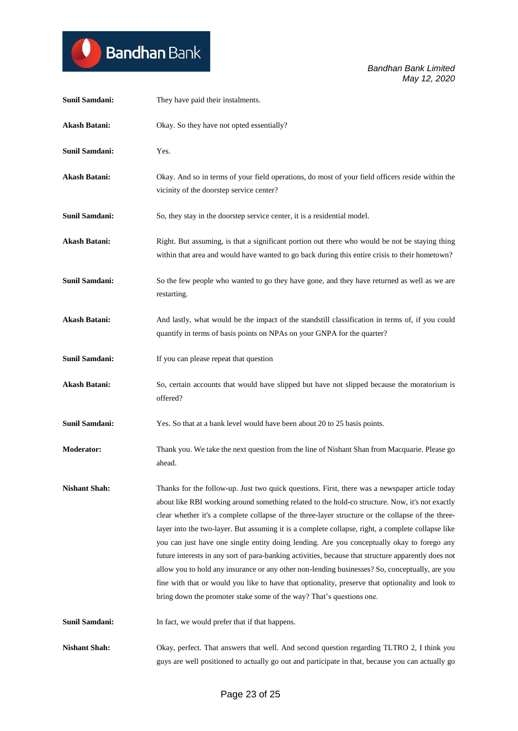

| <b>Sunil Samdani:</b> | They have paid their instalments.                                                                                                                                                                                                                                                                                                                                                                                                                                                                                                                                                                                                                                                                                                                                                                                                                                                              |
|-----------------------|------------------------------------------------------------------------------------------------------------------------------------------------------------------------------------------------------------------------------------------------------------------------------------------------------------------------------------------------------------------------------------------------------------------------------------------------------------------------------------------------------------------------------------------------------------------------------------------------------------------------------------------------------------------------------------------------------------------------------------------------------------------------------------------------------------------------------------------------------------------------------------------------|
| <b>Akash Batani:</b>  | Okay. So they have not opted essentially?                                                                                                                                                                                                                                                                                                                                                                                                                                                                                                                                                                                                                                                                                                                                                                                                                                                      |
| <b>Sunil Samdani:</b> | Yes.                                                                                                                                                                                                                                                                                                                                                                                                                                                                                                                                                                                                                                                                                                                                                                                                                                                                                           |
| <b>Akash Batani:</b>  | Okay. And so in terms of your field operations, do most of your field officers reside within the<br>vicinity of the doorstep service center?                                                                                                                                                                                                                                                                                                                                                                                                                                                                                                                                                                                                                                                                                                                                                   |
| <b>Sunil Samdani:</b> | So, they stay in the doorstep service center, it is a residential model.                                                                                                                                                                                                                                                                                                                                                                                                                                                                                                                                                                                                                                                                                                                                                                                                                       |
| <b>Akash Batani:</b>  | Right. But assuming, is that a significant portion out there who would be not be staying thing<br>within that area and would have wanted to go back during this entire crisis to their hometown?                                                                                                                                                                                                                                                                                                                                                                                                                                                                                                                                                                                                                                                                                               |
| Sunil Samdani:        | So the few people who wanted to go they have gone, and they have returned as well as we are<br>restarting.                                                                                                                                                                                                                                                                                                                                                                                                                                                                                                                                                                                                                                                                                                                                                                                     |
| <b>Akash Batani:</b>  | And lastly, what would be the impact of the standstill classification in terms of, if you could<br>quantify in terms of basis points on NPAs on your GNPA for the quarter?                                                                                                                                                                                                                                                                                                                                                                                                                                                                                                                                                                                                                                                                                                                     |
| <b>Sunil Samdani:</b> | If you can please repeat that question                                                                                                                                                                                                                                                                                                                                                                                                                                                                                                                                                                                                                                                                                                                                                                                                                                                         |
| <b>Akash Batani:</b>  | So, certain accounts that would have slipped but have not slipped because the moratorium is<br>offered?                                                                                                                                                                                                                                                                                                                                                                                                                                                                                                                                                                                                                                                                                                                                                                                        |
| <b>Sunil Samdani:</b> | Yes. So that at a bank level would have been about 20 to 25 basis points.                                                                                                                                                                                                                                                                                                                                                                                                                                                                                                                                                                                                                                                                                                                                                                                                                      |
| <b>Moderator:</b>     | Thank you. We take the next question from the line of Nishant Shan from Macquarie. Please go<br>ahead.                                                                                                                                                                                                                                                                                                                                                                                                                                                                                                                                                                                                                                                                                                                                                                                         |
| <b>Nishant Shah:</b>  | Thanks for the follow-up. Just two quick questions. First, there was a newspaper article today<br>about like RBI working around something related to the hold-co structure. Now, it's not exactly<br>clear whether it's a complete collapse of the three-layer structure or the collapse of the three-<br>layer into the two-layer. But assuming it is a complete collapse, right, a complete collapse like<br>you can just have one single entity doing lending. Are you conceptually okay to forego any<br>future interests in any sort of para-banking activities, because that structure apparently does not<br>allow you to hold any insurance or any other non-lending businesses? So, conceptually, are you<br>fine with that or would you like to have that optionality, preserve that optionality and look to<br>bring down the promoter stake some of the way? That's questions one. |
| Sunil Samdani:        | In fact, we would prefer that if that happens.                                                                                                                                                                                                                                                                                                                                                                                                                                                                                                                                                                                                                                                                                                                                                                                                                                                 |
| <b>Nishant Shah:</b>  | Okay, perfect. That answers that well. And second question regarding TLTRO 2, I think you<br>guys are well positioned to actually go out and participate in that, because you can actually go                                                                                                                                                                                                                                                                                                                                                                                                                                                                                                                                                                                                                                                                                                  |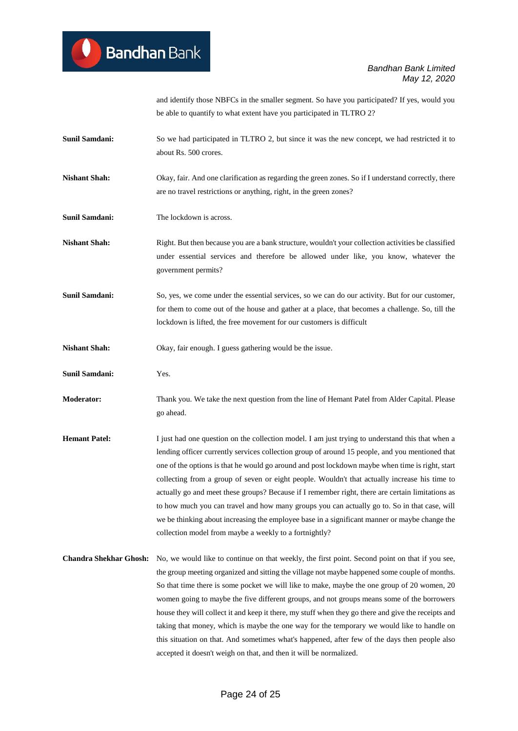and identify those NBFCs in the smaller segment. So have you participated? If yes, would you be able to quantify to what extent have you participated in TLTRO 2?

- **Sunil Samdani:** So we had participated in TLTRO 2, but since it was the new concept, we had restricted it to about Rs. 500 crores.
- **Nishant Shah:** Okay, fair. And one clarification as regarding the green zones. So if I understand correctly, there are no travel restrictions or anything, right, in the green zones?
- **Sunil Samdani:** The lockdown is across.
- **Nishant Shah:** Right. But then because you are a bank structure, wouldn't your collection activities be classified under essential services and therefore be allowed under like, you know, whatever the government permits?
- **Sunil Samdani:** So, yes, we come under the essential services, so we can do our activity. But for our customer, for them to come out of the house and gather at a place, that becomes a challenge. So, till the lockdown is lifted, the free movement for our customers is difficult
- **Nishant Shah:** Okay, fair enough. I guess gathering would be the issue.
- **Sunil Samdani:** Yes.
- **Moderator:** Thank you. We take the next question from the line of Hemant Patel from Alder Capital. Please go ahead.
- **Hemant Patel:** I just had one question on the collection model. I am just trying to understand this that when a lending officer currently services collection group of around 15 people, and you mentioned that one of the options is that he would go around and post lockdown maybe when time is right, start collecting from a group of seven or eight people. Wouldn't that actually increase his time to actually go and meet these groups? Because if I remember right, there are certain limitations as to how much you can travel and how many groups you can actually go to. So in that case, will we be thinking about increasing the employee base in a significant manner or maybe change the collection model from maybe a weekly to a fortnightly?
- **Chandra Shekhar Ghosh:** No, we would like to continue on that weekly, the first point. Second point on that if you see, the group meeting organized and sitting the village not maybe happened some couple of months. So that time there is some pocket we will like to make, maybe the one group of 20 women, 20 women going to maybe the five different groups, and not groups means some of the borrowers house they will collect it and keep it there, my stuff when they go there and give the receipts and taking that money, which is maybe the one way for the temporary we would like to handle on this situation on that. And sometimes what's happened, after few of the days then people also accepted it doesn't weigh on that, and then it will be normalized.